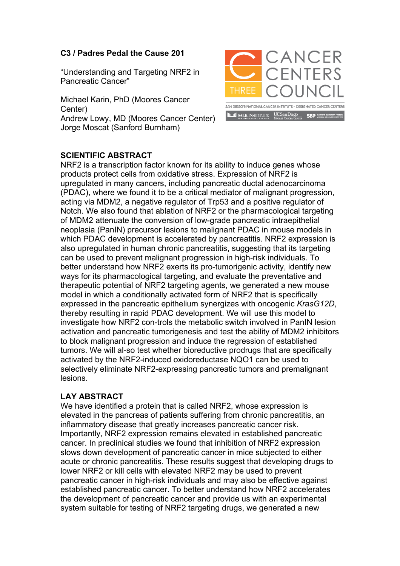## **C3 / Padres Pedal the Cause 201**

"Understanding and Targeting NRF2 in Pancreatic Cancer"

Michael Karin, PhD (Moores Cancer Center) Andrew Lowy, MD (Moores Cancer Center) Jorge Moscat (Sanford Burnham)



## **SCIENTIFIC ABSTRACT**

NRF2 is a transcription factor known for its ability to induce genes whose products protect cells from oxidative stress. Expression of NRF2 is upregulated in many cancers, including pancreatic ductal adenocarcinoma (PDAC), where we found it to be a critical mediator of malignant progression, acting via MDM2, a negative regulator of Trp53 and a positive regulator of Notch. We also found that ablation of NRF2 or the pharmacological targeting of MDM2 attenuate the conversion of low-grade pancreatic intraepithelial neoplasia (PanIN) precursor lesions to malignant PDAC in mouse models in which PDAC development is accelerated by pancreatitis. NRF2 expression is also upregulated in human chronic pancreatitis, suggesting that its targeting can be used to prevent malignant progression in high-risk individuals. To better understand how NRF2 exerts its pro-tumorigenic activity, identify new ways for its pharmacological targeting, and evaluate the preventative and therapeutic potential of NRF2 targeting agents, we generated a new mouse model in which a conditionally activated form of NRF2 that is specifically expressed in the pancreatic epithelium synergizes with oncogenic *KrasG12D*, thereby resulting in rapid PDAC development. We will use this model to investigate how NRF2 con-trols the metabolic switch involved in PanIN lesion activation and pancreatic tumorigenesis and test the ability of MDM2 inhibitors to block malignant progression and induce the regression of established tumors. We will al-so test whether bioreductive prodrugs that are specifically activated by the NRF2-induced oxidoreductase NQO1 can be used to selectively eliminate NRF2-expressing pancreatic tumors and premalignant lesions.

## **LAY ABSTRACT**

We have identified a protein that is called NRF2, whose expression is elevated in the pancreas of patients suffering from chronic pancreatitis, an inflammatory disease that greatly increases pancreatic cancer risk. Importantly, NRF2 expression remains elevated in established pancreatic cancer. In preclinical studies we found that inhibition of NRF2 expression slows down development of pancreatic cancer in mice subjected to either acute or chronic pancreatitis. These results suggest that developing drugs to lower NRF2 or kill cells with elevated NRF2 may be used to prevent pancreatic cancer in high-risk individuals and may also be effective against established pancreatic cancer. To better understand how NRF2 accelerates the development of pancreatic cancer and provide us with an experimental system suitable for testing of NRF2 targeting drugs, we generated a new